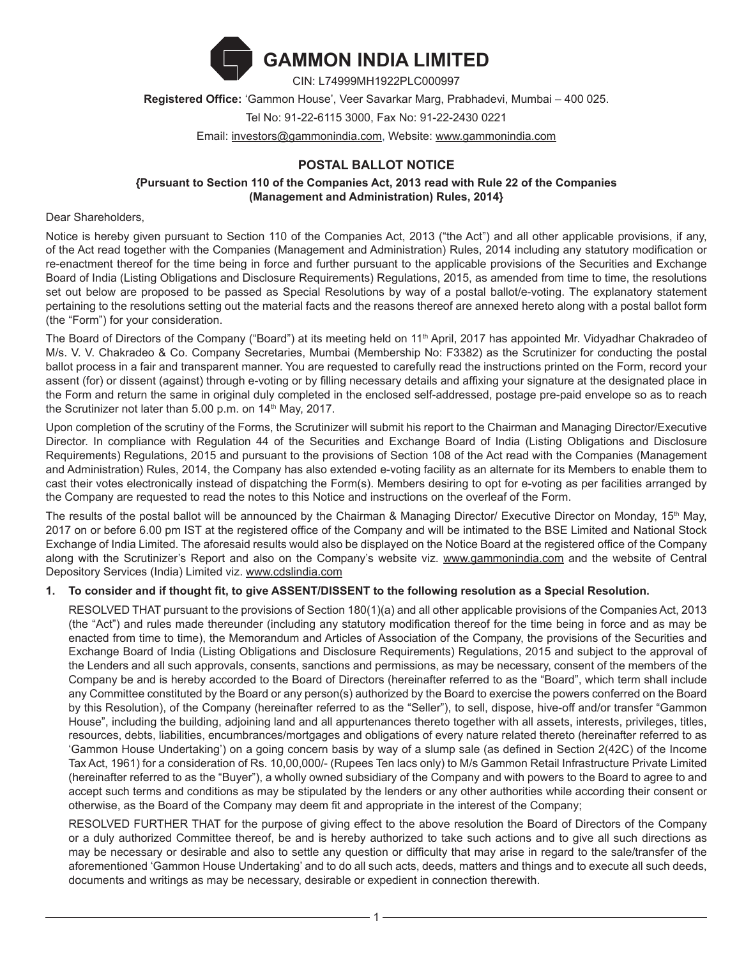

**Registered Office:** 'Gammon House', Veer Savarkar Marg, Prabhadevi, Mumbai – 400 025. Tel No: 91-22-6115 3000, Fax No: 91-22-2430 0221

Email: investors@gammonindia.com, Website: www.gammonindia.com

# **POSTAL BALLOT NOTICE**

### **{Pursuant to Section 110 of the Companies Act, 2013 read with Rule 22 of the Companies (Management and Administration) Rules, 2014}**

#### Dear Shareholders,

Notice is hereby given pursuant to Section 110 of the Companies Act, 2013 ("the Act") and all other applicable provisions, if any, of the Act read together with the Companies (Management and Administration) Rules, 2014 including any statutory modification or re-enactment thereof for the time being in force and further pursuant to the applicable provisions of the Securities and Exchange Board of India (Listing Obligations and Disclosure Requirements) Regulations, 2015, as amended from time to time, the resolutions set out below are proposed to be passed as Special Resolutions by way of a postal ballot/e-voting. The explanatory statement pertaining to the resolutions setting out the material facts and the reasons thereof are annexed hereto along with a postal ballot form (the "Form") for your consideration.

The Board of Directors of the Company ("Board") at its meeting held on 11<sup>th</sup> April, 2017 has appointed Mr. Vidyadhar Chakradeo of M/s. V. V. Chakradeo & Co. Company Secretaries, Mumbai (Membership No: F3382) as the Scrutinizer for conducting the postal ballot process in a fair and transparent manner. You are requested to carefully read the instructions printed on the Form, record your assent (for) or dissent (against) through e-voting or by filling necessary details and affixing your signature at the designated place in the Form and return the same in original duly completed in the enclosed self-addressed, postage pre-paid envelope so as to reach the Scrutinizer not later than  $5.00$  p.m. on  $14<sup>th</sup>$  May, 2017.

Upon completion of the scrutiny of the Forms, the Scrutinizer will submit his report to the Chairman and Managing Director/Executive Director. In compliance with Regulation 44 of the Securities and Exchange Board of India (Listing Obligations and Disclosure Requirements) Regulations, 2015 and pursuant to the provisions of Section 108 of the Act read with the Companies (Management and Administration) Rules, 2014, the Company has also extended e-voting facility as an alternate for its Members to enable them to cast their votes electronically instead of dispatching the Form(s). Members desiring to opt for e-voting as per facilities arranged by the Company are requested to read the notes to this Notice and instructions on the overleaf of the Form.

The results of the postal ballot will be announced by the Chairman & Managing Director/ Executive Director on Monday, 15<sup>th</sup> May, 2017 on or before 6.00 pm IST at the registered office of the Company and will be intimated to the BSE Limited and National Stock Exchange of India Limited. The aforesaid results would also be displayed on the Notice Board at the registered office of the Company along with the Scrutinizer's Report and also on the Company's website viz. www.gammonindia.com and the website of Central Depository Services (India) Limited viz. www.cdslindia.com

## **1. To consider and if thought fit, to give ASSENT/DISSENT to the following resolution as a Special Resolution.**

RESOLVED THAT pursuant to the provisions of Section 180(1)(a) and all other applicable provisions of the Companies Act, 2013 (the "Act") and rules made thereunder (including any statutory modification thereof for the time being in force and as may be enacted from time to time), the Memorandum and Articles of Association of the Company, the provisions of the Securities and Exchange Board of India (Listing Obligations and Disclosure Requirements) Regulations, 2015 and subject to the approval of the Lenders and all such approvals, consents, sanctions and permissions, as may be necessary, consent of the members of the Company be and is hereby accorded to the Board of Directors (hereinafter referred to as the "Board", which term shall include any Committee constituted by the Board or any person(s) authorized by the Board to exercise the powers conferred on the Board by this Resolution), of the Company (hereinafter referred to as the "Seller"), to sell, dispose, hive-off and/or transfer "Gammon House", including the building, adjoining land and all appurtenances thereto together with all assets, interests, privileges, titles, resources, debts, liabilities, encumbrances/mortgages and obligations of every nature related thereto (hereinafter referred to as 'Gammon House Undertaking') on a going concern basis by way of a slump sale (as defined in Section 2(42C) of the Income Tax Act, 1961) for a consideration of Rs. 10,00,000/- (Rupees Ten lacs only) to M/s Gammon Retail Infrastructure Private Limited (hereinafter referred to as the "Buyer"), a wholly owned subsidiary of the Company and with powers to the Board to agree to and accept such terms and conditions as may be stipulated by the lenders or any other authorities while according their consent or otherwise, as the Board of the Company may deem fit and appropriate in the interest of the Company;

RESOLVED FURTHER THAT for the purpose of giving effect to the above resolution the Board of Directors of the Company or a duly authorized Committee thereof, be and is hereby authorized to take such actions and to give all such directions as may be necessary or desirable and also to settle any question or difficulty that may arise in regard to the sale/transfer of the aforementioned 'Gammon House Undertaking' and to do all such acts, deeds, matters and things and to execute all such deeds, documents and writings as may be necessary, desirable or expedient in connection therewith.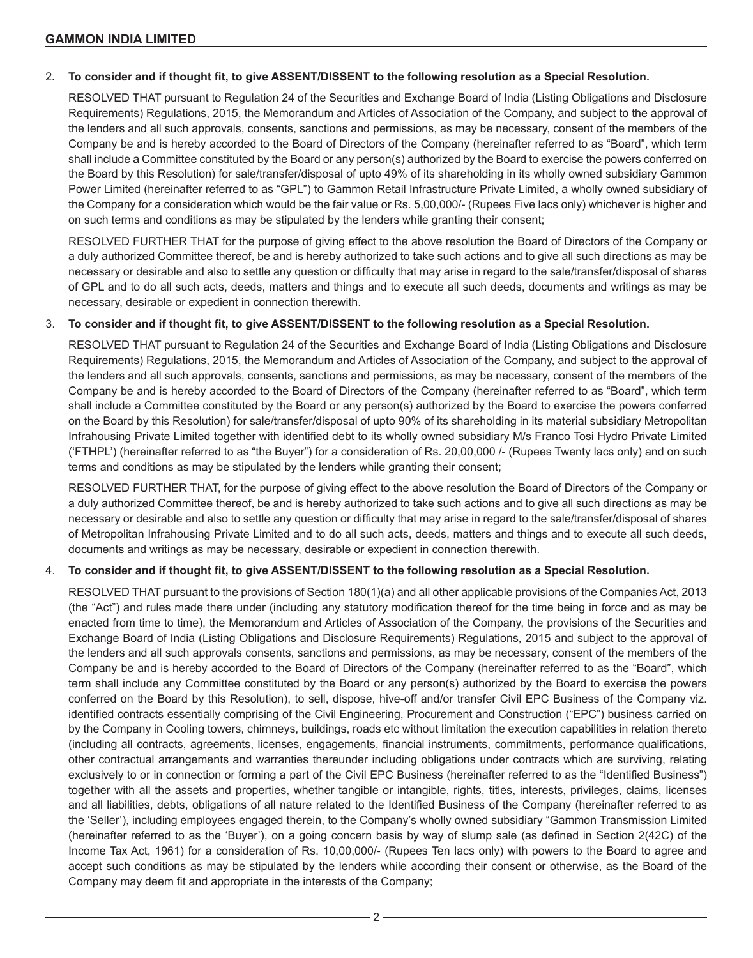#### 2**. To consider and if thought fit, to give ASSENT/DISSENT to the following resolution as a Special Resolution.**

RESOLVED THAT pursuant to Regulation 24 of the Securities and Exchange Board of India (Listing Obligations and Disclosure Requirements) Regulations, 2015, the Memorandum and Articles of Association of the Company, and subject to the approval of the lenders and all such approvals, consents, sanctions and permissions, as may be necessary, consent of the members of the Company be and is hereby accorded to the Board of Directors of the Company (hereinafter referred to as "Board", which term shall include a Committee constituted by the Board or any person(s) authorized by the Board to exercise the powers conferred on the Board by this Resolution) for sale/transfer/disposal of upto 49% of its shareholding in its wholly owned subsidiary Gammon Power Limited (hereinafter referred to as "GPL") to Gammon Retail Infrastructure Private Limited, a wholly owned subsidiary of the Company for a consideration which would be the fair value or Rs. 5,00,000/- (Rupees Five lacs only) whichever is higher and on such terms and conditions as may be stipulated by the lenders while granting their consent;

RESOLVED FURTHER THAT for the purpose of giving effect to the above resolution the Board of Directors of the Company or a duly authorized Committee thereof, be and is hereby authorized to take such actions and to give all such directions as may be necessary or desirable and also to settle any question or difficulty that may arise in regard to the sale/transfer/disposal of shares of GPL and to do all such acts, deeds, matters and things and to execute all such deeds, documents and writings as may be necessary, desirable or expedient in connection therewith.

### 3. **To consider and if thought fit, to give ASSENT/DISSENT to the following resolution as a Special Resolution.**

RESOLVED THAT pursuant to Regulation 24 of the Securities and Exchange Board of India (Listing Obligations and Disclosure Requirements) Regulations, 2015, the Memorandum and Articles of Association of the Company, and subject to the approval of the lenders and all such approvals, consents, sanctions and permissions, as may be necessary, consent of the members of the Company be and is hereby accorded to the Board of Directors of the Company (hereinafter referred to as "Board", which term shall include a Committee constituted by the Board or any person(s) authorized by the Board to exercise the powers conferred on the Board by this Resolution) for sale/transfer/disposal of upto 90% of its shareholding in its material subsidiary Metropolitan Infrahousing Private Limited together with identified debt to its wholly owned subsidiary M/s Franco Tosi Hydro Private Limited ('FTHPL') (hereinafter referred to as "the Buyer") for a consideration of Rs. 20,00,000 /- (Rupees Twenty lacs only) and on such terms and conditions as may be stipulated by the lenders while granting their consent;

RESOLVED FURTHER THAT, for the purpose of giving effect to the above resolution the Board of Directors of the Company or a duly authorized Committee thereof, be and is hereby authorized to take such actions and to give all such directions as may be necessary or desirable and also to settle any question or difficulty that may arise in regard to the sale/transfer/disposal of shares of Metropolitan Infrahousing Private Limited and to do all such acts, deeds, matters and things and to execute all such deeds, documents and writings as may be necessary, desirable or expedient in connection therewith.

#### 4. **To consider and if thought fit, to give ASSENT/DISSENT to the following resolution as a Special Resolution.**

RESOLVED THAT pursuant to the provisions of Section 180(1)(a) and all other applicable provisions of the Companies Act, 2013 (the "Act") and rules made there under (including any statutory modification thereof for the time being in force and as may be enacted from time to time), the Memorandum and Articles of Association of the Company, the provisions of the Securities and Exchange Board of India (Listing Obligations and Disclosure Requirements) Regulations, 2015 and subject to the approval of the lenders and all such approvals consents, sanctions and permissions, as may be necessary, consent of the members of the Company be and is hereby accorded to the Board of Directors of the Company (hereinafter referred to as the "Board", which term shall include any Committee constituted by the Board or any person(s) authorized by the Board to exercise the powers conferred on the Board by this Resolution), to sell, dispose, hive-off and/or transfer Civil EPC Business of the Company viz. identified contracts essentially comprising of the Civil Engineering, Procurement and Construction ("EPC") business carried on by the Company in Cooling towers, chimneys, buildings, roads etc without limitation the execution capabilities in relation thereto (including all contracts, agreements, licenses, engagements, financial instruments, commitments, performance qualifications, other contractual arrangements and warranties thereunder including obligations under contracts which are surviving, relating exclusively to or in connection or forming a part of the Civil EPC Business (hereinafter referred to as the "Identified Business") together with all the assets and properties, whether tangible or intangible, rights, titles, interests, privileges, claims, licenses and all liabilities, debts, obligations of all nature related to the Identified Business of the Company (hereinafter referred to as the 'Seller'), including employees engaged therein, to the Company's wholly owned subsidiary "Gammon Transmission Limited (hereinafter referred to as the 'Buyer'), on a going concern basis by way of slump sale (as defined in Section 2(42C) of the Income Tax Act, 1961) for a consideration of Rs. 10,00,000/- (Rupees Ten lacs only) with powers to the Board to agree and accept such conditions as may be stipulated by the lenders while according their consent or otherwise, as the Board of the Company may deem fit and appropriate in the interests of the Company;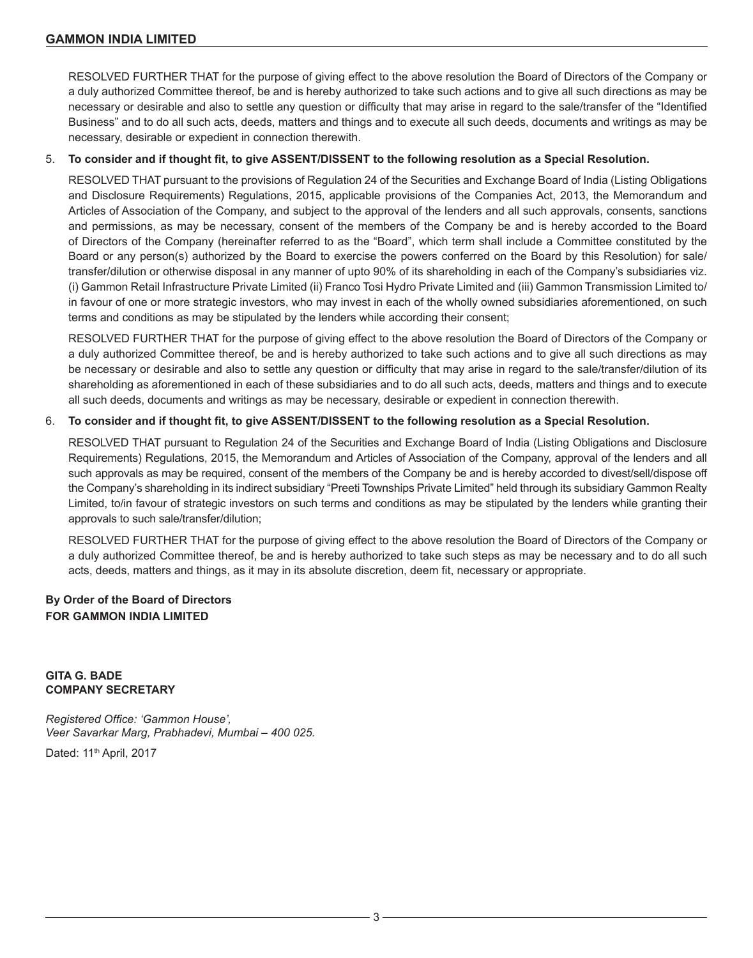RESOLVED FURTHER THAT for the purpose of giving effect to the above resolution the Board of Directors of the Company or a duly authorized Committee thereof, be and is hereby authorized to take such actions and to give all such directions as may be necessary or desirable and also to settle any question or difficulty that may arise in regard to the sale/transfer of the "Identified Business" and to do all such acts, deeds, matters and things and to execute all such deeds, documents and writings as may be necessary, desirable or expedient in connection therewith.

#### 5. **To consider and if thought fit, to give ASSENT/DISSENT to the following resolution as a Special Resolution.**

RESOLVED THAT pursuant to the provisions of Regulation 24 of the Securities and Exchange Board of India (Listing Obligations and Disclosure Requirements) Regulations, 2015, applicable provisions of the Companies Act, 2013, the Memorandum and Articles of Association of the Company, and subject to the approval of the lenders and all such approvals, consents, sanctions and permissions, as may be necessary, consent of the members of the Company be and is hereby accorded to the Board of Directors of the Company (hereinafter referred to as the "Board", which term shall include a Committee constituted by the Board or any person(s) authorized by the Board to exercise the powers conferred on the Board by this Resolution) for sale/ transfer/dilution or otherwise disposal in any manner of upto 90% of its shareholding in each of the Company's subsidiaries viz. (i) Gammon Retail Infrastructure Private Limited (ii) Franco Tosi Hydro Private Limited and (iii) Gammon Transmission Limited to/ in favour of one or more strategic investors, who may invest in each of the wholly owned subsidiaries aforementioned, on such terms and conditions as may be stipulated by the lenders while according their consent;

RESOLVED FURTHER THAT for the purpose of giving effect to the above resolution the Board of Directors of the Company or a duly authorized Committee thereof, be and is hereby authorized to take such actions and to give all such directions as may be necessary or desirable and also to settle any question or difficulty that may arise in regard to the sale/transfer/dilution of its shareholding as aforementioned in each of these subsidiaries and to do all such acts, deeds, matters and things and to execute all such deeds, documents and writings as may be necessary, desirable or expedient in connection therewith.

### 6. **To consider and if thought fit, to give ASSENT/DISSENT to the following resolution as a Special Resolution.**

RESOLVED THAT pursuant to Regulation 24 of the Securities and Exchange Board of India (Listing Obligations and Disclosure Requirements) Regulations, 2015, the Memorandum and Articles of Association of the Company, approval of the lenders and all such approvals as may be required, consent of the members of the Company be and is hereby accorded to divest/sell/dispose off the Company's shareholding in its indirect subsidiary "Preeti Townships Private Limited" held through its subsidiary Gammon Realty Limited, to/in favour of strategic investors on such terms and conditions as may be stipulated by the lenders while granting their approvals to such sale/transfer/dilution;

RESOLVED FURTHER THAT for the purpose of giving effect to the above resolution the Board of Directors of the Company or a duly authorized Committee thereof, be and is hereby authorized to take such steps as may be necessary and to do all such acts, deeds, matters and things, as it may in its absolute discretion, deem fit, necessary or appropriate.

# **By Order of the Board of Directors FOR GAMMON INDIA LIMITED**

### **GITA G. BADE COMPANY SECRETARY**

*Registered Office: 'Gammon House', Veer Savarkar Marg, Prabhadevi, Mumbai – 400 025.*

Dated: 11<sup>th</sup> April, 2017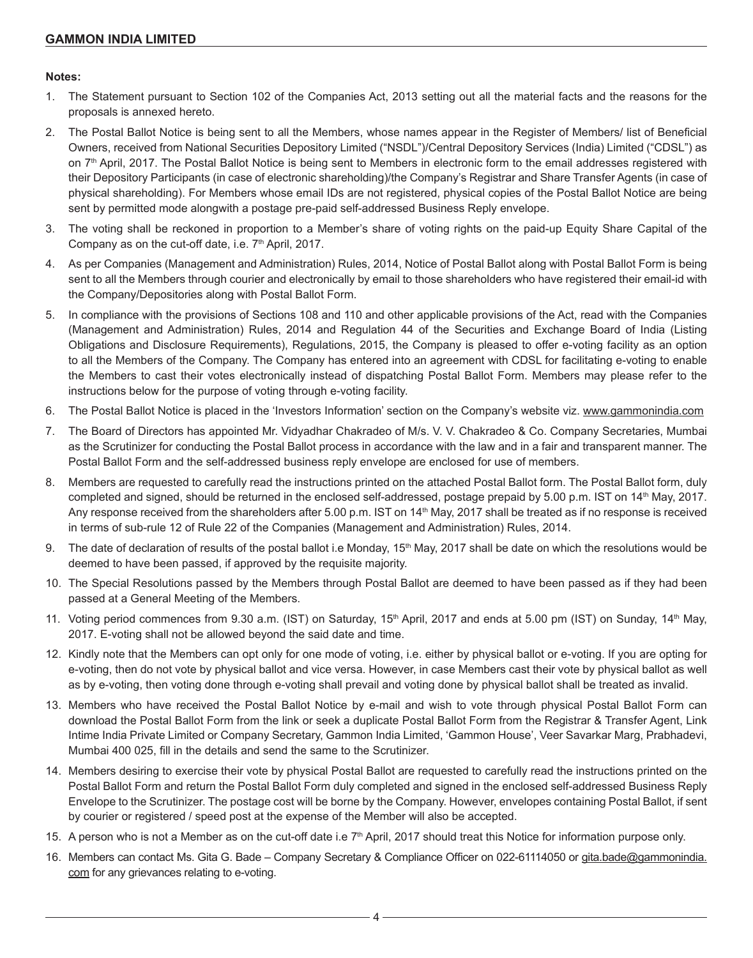#### **Notes:**

- 1. The Statement pursuant to Section 102 of the Companies Act, 2013 setting out all the material facts and the reasons for the proposals is annexed hereto.
- 2. The Postal Ballot Notice is being sent to all the Members, whose names appear in the Register of Members/ list of Beneficial Owners, received from National Securities Depository Limited ("NSDL")/Central Depository Services (India) Limited ("CDSL") as on 7<sup>th</sup> April, 2017. The Postal Ballot Notice is being sent to Members in electronic form to the email addresses registered with their Depository Participants (in case of electronic shareholding)/the Company's Registrar and Share Transfer Agents (in case of physical shareholding). For Members whose email IDs are not registered, physical copies of the Postal Ballot Notice are being sent by permitted mode alongwith a postage pre-paid self-addressed Business Reply envelope.
- 3. The voting shall be reckoned in proportion to a Member's share of voting rights on the paid-up Equity Share Capital of the Company as on the cut-off date, i.e. 7<sup>th</sup> April, 2017.
- 4. As per Companies (Management and Administration) Rules, 2014, Notice of Postal Ballot along with Postal Ballot Form is being sent to all the Members through courier and electronically by email to those shareholders who have registered their email-id with the Company/Depositories along with Postal Ballot Form.
- 5. In compliance with the provisions of Sections 108 and 110 and other applicable provisions of the Act, read with the Companies (Management and Administration) Rules, 2014 and Regulation 44 of the Securities and Exchange Board of India (Listing Obligations and Disclosure Requirements), Regulations, 2015, the Company is pleased to offer e-voting facility as an option to all the Members of the Company. The Company has entered into an agreement with CDSL for facilitating e-voting to enable the Members to cast their votes electronically instead of dispatching Postal Ballot Form. Members may please refer to the instructions below for the purpose of voting through e-voting facility.
- 6. The Postal Ballot Notice is placed in the 'Investors Information' section on the Company's website viz. www.gammonindia.com
- 7. The Board of Directors has appointed Mr. Vidyadhar Chakradeo of M/s. V. V. Chakradeo & Co. Company Secretaries, Mumbai as the Scrutinizer for conducting the Postal Ballot process in accordance with the law and in a fair and transparent manner. The Postal Ballot Form and the self-addressed business reply envelope are enclosed for use of members.
- 8. Members are requested to carefully read the instructions printed on the attached Postal Ballot form. The Postal Ballot form, duly completed and signed, should be returned in the enclosed self-addressed, postage prepaid by 5.00 p.m. IST on 14th May, 2017. Any response received from the shareholders after 5.00 p.m. IST on 14<sup>th</sup> May, 2017 shall be treated as if no response is received in terms of sub-rule 12 of Rule 22 of the Companies (Management and Administration) Rules, 2014.
- 9. The date of declaration of results of the postal ballot i.e Monday, 15<sup>th</sup> May, 2017 shall be date on which the resolutions would be deemed to have been passed, if approved by the requisite majority.
- 10. The Special Resolutions passed by the Members through Postal Ballot are deemed to have been passed as if they had been passed at a General Meeting of the Members.
- 11. Voting period commences from 9.30 a.m. (IST) on Saturday, 15<sup>th</sup> April, 2017 and ends at 5.00 pm (IST) on Sunday, 14<sup>th</sup> May, 2017. E-voting shall not be allowed beyond the said date and time.
- 12. Kindly note that the Members can opt only for one mode of voting, i.e. either by physical ballot or e-voting. If you are opting for e-voting, then do not vote by physical ballot and vice versa. However, in case Members cast their vote by physical ballot as well as by e-voting, then voting done through e-voting shall prevail and voting done by physical ballot shall be treated as invalid.
- 13. Members who have received the Postal Ballot Notice by e-mail and wish to vote through physical Postal Ballot Form can download the Postal Ballot Form from the link or seek a duplicate Postal Ballot Form from the Registrar & Transfer Agent, Link Intime India Private Limited or Company Secretary, Gammon India Limited, 'Gammon House', Veer Savarkar Marg, Prabhadevi, Mumbai 400 025, fill in the details and send the same to the Scrutinizer.
- 14. Members desiring to exercise their vote by physical Postal Ballot are requested to carefully read the instructions printed on the Postal Ballot Form and return the Postal Ballot Form duly completed and signed in the enclosed self-addressed Business Reply Envelope to the Scrutinizer. The postage cost will be borne by the Company. However, envelopes containing Postal Ballot, if sent by courier or registered / speed post at the expense of the Member will also be accepted.
- 15. A person who is not a Member as on the cut-off date i.e  $7<sup>th</sup>$  April, 2017 should treat this Notice for information purpose only.
- 16. Members can contact Ms. Gita G. Bade Company Secretary & Compliance Officer on 022-61114050 or gita.bade@gammonindia. com for any grievances relating to e-voting.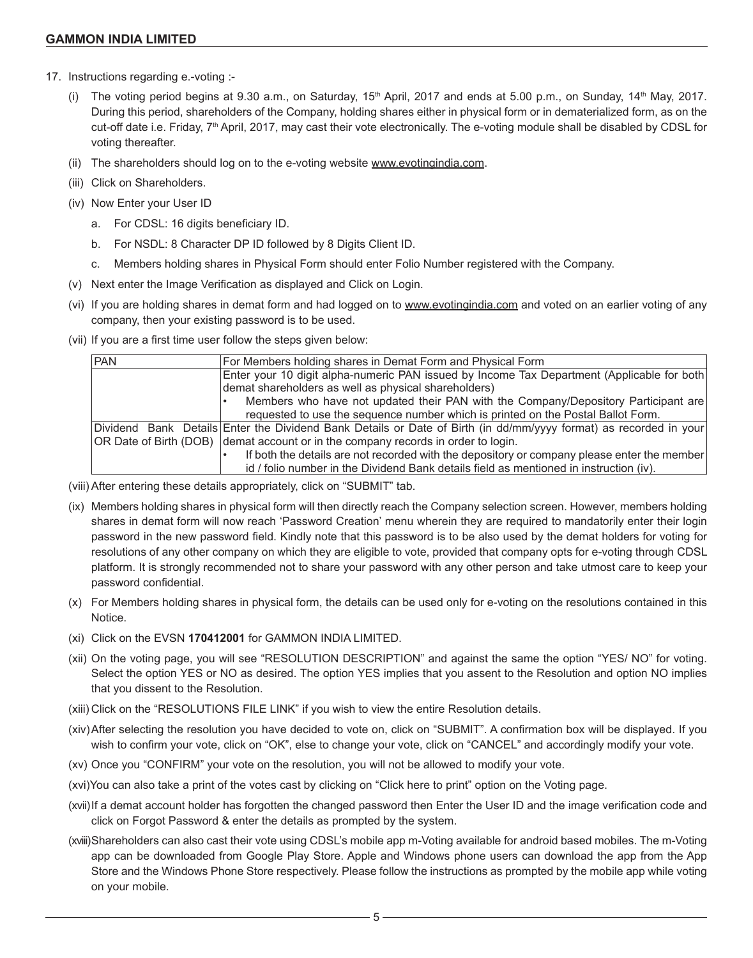- 17. Instructions regarding e.-voting :-
	- (i) The voting period begins at 9.30 a.m., on Saturday,  $15<sup>th</sup>$  April, 2017 and ends at 5.00 p.m., on Sunday,  $14<sup>th</sup>$  May, 2017. During this period, shareholders of the Company, holding shares either in physical form or in dematerialized form, as on the cut-off date i.e. Friday, 7<sup>th</sup> April, 2017, may cast their vote electronically. The e-voting module shall be disabled by CDSL for voting thereafter.
	- (ii) The shareholders should log on to the e-voting website www.evotingindia.com.
	- (iii) Click on Shareholders.
	- (iv) Now Enter your User ID
		- a. For CDSL: 16 digits beneficiary ID.
		- b. For NSDL: 8 Character DP ID followed by 8 Digits Client ID.
		- c. Members holding shares in Physical Form should enter Folio Number registered with the Company.
	- (v) Next enter the Image Verification as displayed and Click on Login.
	- (vi) If you are holding shares in demat form and had logged on to www.evotingindia.com and voted on an earlier voting of any company, then your existing password is to be used.
	- (vii) If you are a first time user follow the steps given below:

| <b>PAN</b> | For Members holding shares in Demat Form and Physical Form                                                        |  |  |
|------------|-------------------------------------------------------------------------------------------------------------------|--|--|
|            | Enter your 10 digit alpha-numeric PAN issued by Income Tax Department (Applicable for both                        |  |  |
|            | demat shareholders as well as physical shareholders)                                                              |  |  |
|            | Members who have not updated their PAN with the Company/Depository Participant are                                |  |  |
|            | requested to use the sequence number which is printed on the Postal Ballot Form.                                  |  |  |
|            | Dividend Bank Details Enter the Dividend Bank Details or Date of Birth (in dd/mm/yyyy format) as recorded in your |  |  |
|            | OR Date of Birth (DOB) demat account or in the company records in order to login.                                 |  |  |
|            | If both the details are not recorded with the depository or company please enter the member                       |  |  |
|            | id / folio number in the Dividend Bank details field as mentioned in instruction (iv).                            |  |  |

- (viii) After entering these details appropriately, click on "SUBMIT" tab.
- (ix) Members holding shares in physical form will then directly reach the Company selection screen. However, members holding shares in demat form will now reach 'Password Creation' menu wherein they are required to mandatorily enter their login password in the new password field. Kindly note that this password is to be also used by the demat holders for voting for resolutions of any other company on which they are eligible to vote, provided that company opts for e-voting through CDSL platform. It is strongly recommended not to share your password with any other person and take utmost care to keep your password confidential.
- (x) For Members holding shares in physical form, the details can be used only for e-voting on the resolutions contained in this Notice.
- (xi) Click on the EVSN **170412001** for GAMMON INDIA LIMITED.
- (xii) On the voting page, you will see "RESOLUTION DESCRIPTION" and against the same the option "YES/ NO" for voting. Select the option YES or NO as desired. The option YES implies that you assent to the Resolution and option NO implies that you dissent to the Resolution.
- (xiii) Click on the "RESOLUTIONS FILE LINK" if you wish to view the entire Resolution details.
- (xiv)After selecting the resolution you have decided to vote on, click on "SUBMIT". A confirmation box will be displayed. If you wish to confirm your vote, click on "OK", else to change your vote, click on "CANCEL" and accordingly modify your vote.
- (xv) Once you "CONFIRM" your vote on the resolution, you will not be allowed to modify your vote.
- (xvi)You can also take a print of the votes cast by clicking on "Click here to print" option on the Voting page.
- (xvii)If a demat account holder has forgotten the changed password then Enter the User ID and the image verification code and click on Forgot Password & enter the details as prompted by the system.
- (xviii)Shareholders can also cast their vote using CDSL's mobile app m-Voting available for android based mobiles. The m-Voting app can be downloaded from Google Play Store. Apple and Windows phone users can download the app from the App Store and the Windows Phone Store respectively. Please follow the instructions as prompted by the mobile app while voting on your mobile.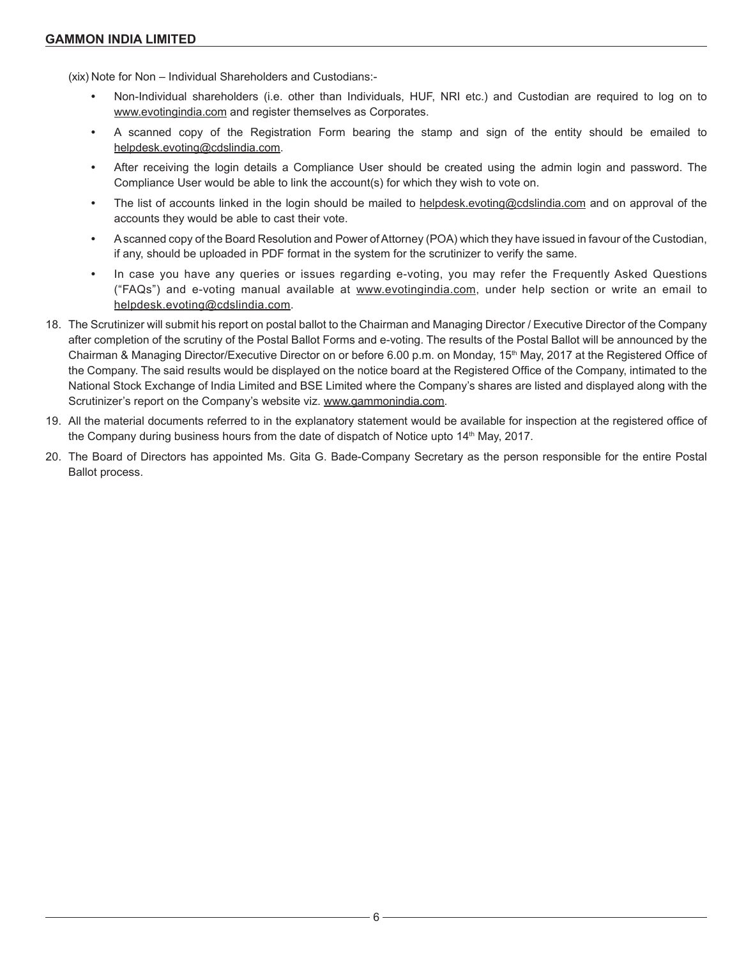(xix) Note for Non – Individual Shareholders and Custodians:-

- **•** Non-Individual shareholders (i.e. other than Individuals, HUF, NRI etc.) and Custodian are required to log on to www.evotingindia.com and register themselves as Corporates.
- **•** A scanned copy of the Registration Form bearing the stamp and sign of the entity should be emailed to helpdesk.evoting@cdslindia.com.
- **•** After receiving the login details a Compliance User should be created using the admin login and password. The Compliance User would be able to link the account(s) for which they wish to vote on.
- **•** The list of accounts linked in the login should be mailed to helpdesk.evoting@cdslindia.com and on approval of the accounts they would be able to cast their vote.
- **•** A scanned copy of the Board Resolution and Power of Attorney (POA) which they have issued in favour of the Custodian, if any, should be uploaded in PDF format in the system for the scrutinizer to verify the same.
- **•** In case you have any queries or issues regarding e-voting, you may refer the Frequently Asked Questions ("FAQs") and e-voting manual available at www.evotingindia.com, under help section or write an email to helpdesk.evoting@cdslindia.com.
- 18. The Scrutinizer will submit his report on postal ballot to the Chairman and Managing Director / Executive Director of the Company after completion of the scrutiny of the Postal Ballot Forms and e-voting. The results of the Postal Ballot will be announced by the Chairman & Managing Director/Executive Director on or before 6.00 p.m. on Monday, 15<sup>th</sup> May, 2017 at the Registered Office of the Company. The said results would be displayed on the notice board at the Registered Office of the Company, intimated to the National Stock Exchange of India Limited and BSE Limited where the Company's shares are listed and displayed along with the Scrutinizer's report on the Company's website viz. www.gammonindia.com.
- 19. All the material documents referred to in the explanatory statement would be available for inspection at the registered office of the Company during business hours from the date of dispatch of Notice upto 14<sup>th</sup> May, 2017.
- 20. The Board of Directors has appointed Ms. Gita G. Bade-Company Secretary as the person responsible for the entire Postal Ballot process.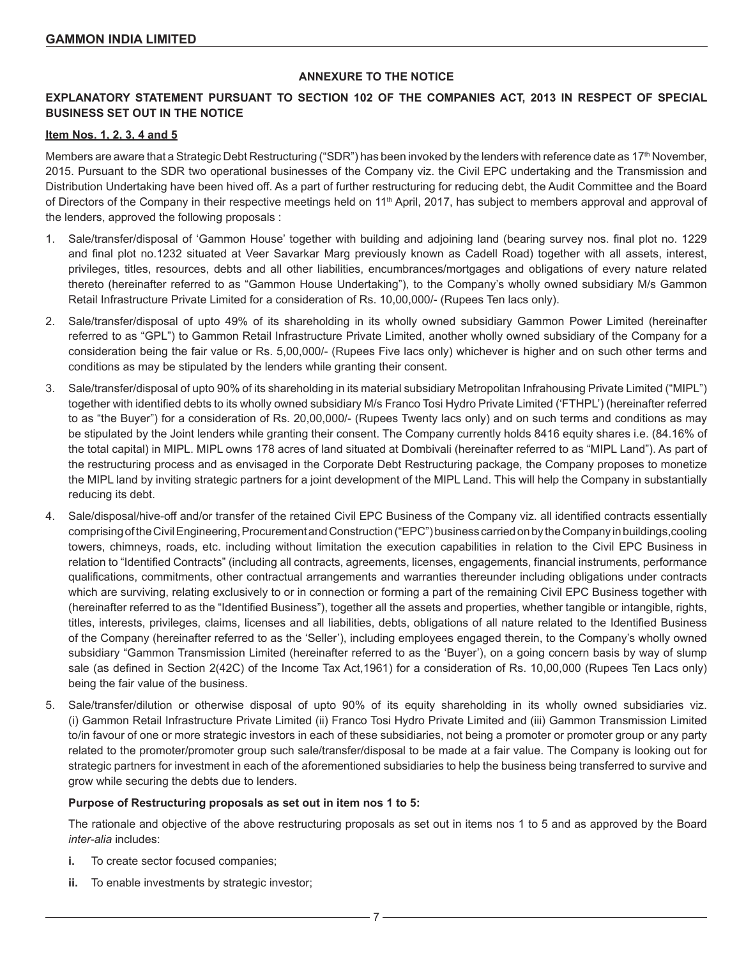### **ANNEXURE TO THE NOTICE**

## **EXPLANATORY STATEMENT PURSUANT TO SECTION 102 OF THE COMPANIES ACT, 2013 IN RESPECT OF SPECIAL BUSINESS SET OUT IN THE NOTICE**

#### **Item Nos. 1, 2, 3, 4 and 5**

Members are aware that a Strategic Debt Restructuring ("SDR") has been invoked by the lenders with reference date as 17<sup>th</sup> November, 2015. Pursuant to the SDR two operational businesses of the Company viz. the Civil EPC undertaking and the Transmission and Distribution Undertaking have been hived off. As a part of further restructuring for reducing debt, the Audit Committee and the Board of Directors of the Company in their respective meetings held on 11<sup>th</sup> April, 2017, has subject to members approval and approval of the lenders, approved the following proposals :

- 1. Sale/transfer/disposal of 'Gammon House' together with building and adjoining land (bearing survey nos. final plot no. 1229 and final plot no.1232 situated at Veer Savarkar Marg previously known as Cadell Road) together with all assets, interest, privileges, titles, resources, debts and all other liabilities, encumbrances/mortgages and obligations of every nature related thereto (hereinafter referred to as "Gammon House Undertaking"), to the Company's wholly owned subsidiary M/s Gammon Retail Infrastructure Private Limited for a consideration of Rs. 10,00,000/- (Rupees Ten lacs only).
- 2. Sale/transfer/disposal of upto 49% of its shareholding in its wholly owned subsidiary Gammon Power Limited (hereinafter referred to as "GPL") to Gammon Retail Infrastructure Private Limited, another wholly owned subsidiary of the Company for a consideration being the fair value or Rs. 5,00,000/- (Rupees Five lacs only) whichever is higher and on such other terms and conditions as may be stipulated by the lenders while granting their consent.
- 3. Sale/transfer/disposal of upto 90% of its shareholding in its material subsidiary Metropolitan Infrahousing Private Limited ("MIPL") together with identified debts to its wholly owned subsidiary M/s Franco Tosi Hydro Private Limited ('FTHPL') (hereinafter referred to as "the Buyer") for a consideration of Rs. 20,00,000/- (Rupees Twenty lacs only) and on such terms and conditions as may be stipulated by the Joint lenders while granting their consent. The Company currently holds 8416 equity shares i.e. (84.16% of the total capital) in MIPL. MIPL owns 178 acres of land situated at Dombivali (hereinafter referred to as "MIPL Land"). As part of the restructuring process and as envisaged in the Corporate Debt Restructuring package, the Company proposes to monetize the MIPL land by inviting strategic partners for a joint development of the MIPL Land. This will help the Company in substantially reducing its debt.
- 4. Sale/disposal/hive-off and/or transfer of the retained Civil EPC Business of the Company viz. all identified contracts essentially comprising of the Civil Engineering, Procurement and Construction ("EPC") business carried on by the Company in buildings,cooling towers, chimneys, roads, etc. including without limitation the execution capabilities in relation to the Civil EPC Business in relation to "Identified Contracts" (including all contracts, agreements, licenses, engagements, financial instruments, performance qualifications, commitments, other contractual arrangements and warranties thereunder including obligations under contracts which are surviving, relating exclusively to or in connection or forming a part of the remaining Civil EPC Business together with (hereinafter referred to as the "Identified Business"), together all the assets and properties, whether tangible or intangible, rights, titles, interests, privileges, claims, licenses and all liabilities, debts, obligations of all nature related to the Identified Business of the Company (hereinafter referred to as the 'Seller'), including employees engaged therein, to the Company's wholly owned subsidiary "Gammon Transmission Limited (hereinafter referred to as the 'Buyer'), on a going concern basis by way of slump sale (as defined in Section 2(42C) of the Income Tax Act,1961) for a consideration of Rs. 10,00,000 (Rupees Ten Lacs only) being the fair value of the business.
- 5. Sale/transfer/dilution or otherwise disposal of upto 90% of its equity shareholding in its wholly owned subsidiaries viz. (i) Gammon Retail Infrastructure Private Limited (ii) Franco Tosi Hydro Private Limited and (iii) Gammon Transmission Limited to/in favour of one or more strategic investors in each of these subsidiaries, not being a promoter or promoter group or any party related to the promoter/promoter group such sale/transfer/disposal to be made at a fair value. The Company is looking out for strategic partners for investment in each of the aforementioned subsidiaries to help the business being transferred to survive and grow while securing the debts due to lenders.

#### **Purpose of Restructuring proposals as set out in item nos 1 to 5:**

The rationale and objective of the above restructuring proposals as set out in items nos 1 to 5 and as approved by the Board *inter-alia* includes:

- **i.** To create sector focused companies;
- **ii.** To enable investments by strategic investor;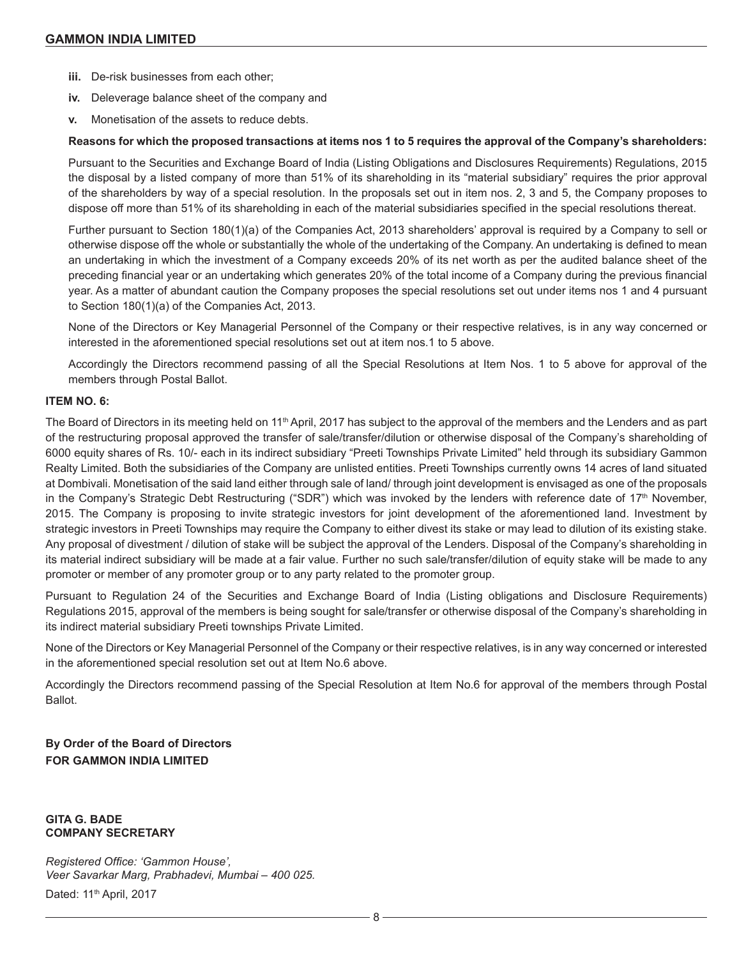- **iii.** De-risk businesses from each other;
- **iv.** Deleverage balance sheet of the company and
- **v.** Monetisation of the assets to reduce debts.

#### **Reasons for which the proposed transactions at items nos 1 to 5 requires the approval of the Company's shareholders:**

Pursuant to the Securities and Exchange Board of India (Listing Obligations and Disclosures Requirements) Regulations, 2015 the disposal by a listed company of more than 51% of its shareholding in its "material subsidiary" requires the prior approval of the shareholders by way of a special resolution. In the proposals set out in item nos. 2, 3 and 5, the Company proposes to dispose off more than 51% of its shareholding in each of the material subsidiaries specified in the special resolutions thereat.

Further pursuant to Section 180(1)(a) of the Companies Act, 2013 shareholders' approval is required by a Company to sell or otherwise dispose off the whole or substantially the whole of the undertaking of the Company. An undertaking is defined to mean an undertaking in which the investment of a Company exceeds 20% of its net worth as per the audited balance sheet of the preceding financial year or an undertaking which generates 20% of the total income of a Company during the previous financial year. As a matter of abundant caution the Company proposes the special resolutions set out under items nos 1 and 4 pursuant to Section 180(1)(a) of the Companies Act, 2013.

None of the Directors or Key Managerial Personnel of the Company or their respective relatives, is in any way concerned or interested in the aforementioned special resolutions set out at item nos.1 to 5 above.

Accordingly the Directors recommend passing of all the Special Resolutions at Item Nos. 1 to 5 above for approval of the members through Postal Ballot.

#### **ITEM NO. 6:**

The Board of Directors in its meeting held on 11<sup>th</sup> April, 2017 has subject to the approval of the members and the Lenders and as part of the restructuring proposal approved the transfer of sale/transfer/dilution or otherwise disposal of the Company's shareholding of 6000 equity shares of Rs. 10/- each in its indirect subsidiary "Preeti Townships Private Limited" held through its subsidiary Gammon Realty Limited. Both the subsidiaries of the Company are unlisted entities. Preeti Townships currently owns 14 acres of land situated at Dombivali. Monetisation of the said land either through sale of land/ through joint development is envisaged as one of the proposals in the Company's Strategic Debt Restructuring ("SDR") which was invoked by the lenders with reference date of 17<sup>th</sup> November, 2015. The Company is proposing to invite strategic investors for joint development of the aforementioned land. Investment by strategic investors in Preeti Townships may require the Company to either divest its stake or may lead to dilution of its existing stake. Any proposal of divestment / dilution of stake will be subject the approval of the Lenders. Disposal of the Company's shareholding in its material indirect subsidiary will be made at a fair value. Further no such sale/transfer/dilution of equity stake will be made to any promoter or member of any promoter group or to any party related to the promoter group.

Pursuant to Regulation 24 of the Securities and Exchange Board of India (Listing obligations and Disclosure Requirements) Regulations 2015, approval of the members is being sought for sale/transfer or otherwise disposal of the Company's shareholding in its indirect material subsidiary Preeti townships Private Limited.

None of the Directors or Key Managerial Personnel of the Company or their respective relatives, is in any way concerned or interested in the aforementioned special resolution set out at Item No.6 above.

Accordingly the Directors recommend passing of the Special Resolution at Item No.6 for approval of the members through Postal Ballot.

**By Order of the Board of Directors FOR GAMMON INDIA LIMITED**

**GITA G. BADE COMPANY SECRETARY**

*Registered Office: 'Gammon House', Veer Savarkar Marg, Prabhadevi, Mumbai – 400 025.* Dated: 11<sup>th</sup> April, 2017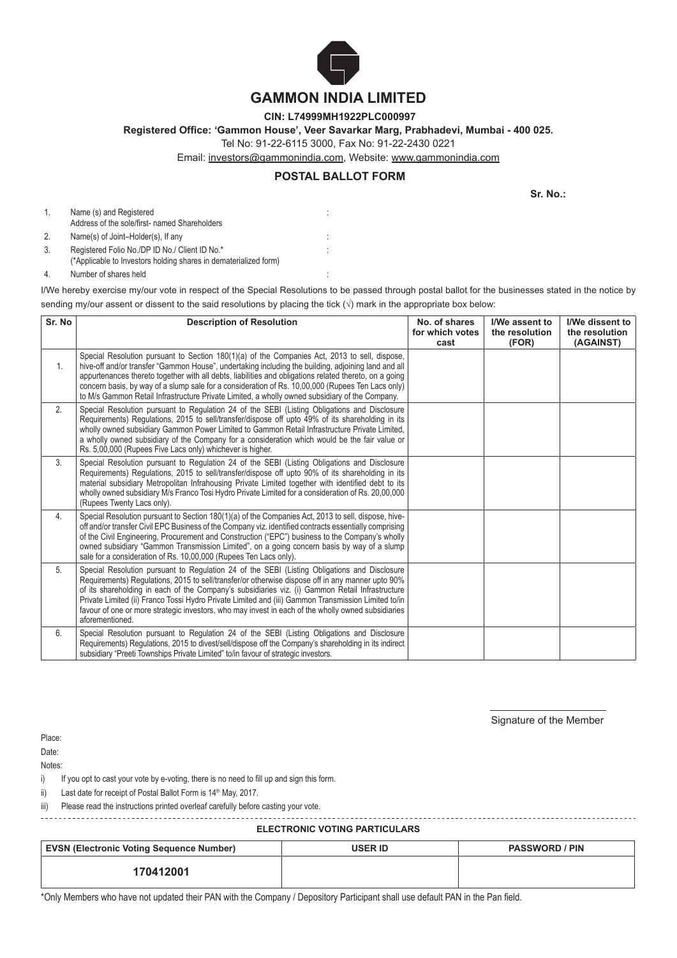

# **GAMMON INDIA LIMITED**

**CIN: L74999MH1922PLC000997**

**Registered Office: 'Gammon House', Veer Savarkar Marg, Prabhadevi, Mumbai - 400 025.**

Tel No: 91-22-6115 3000, Fax No: 91-22-2430 0221

Email: investors@gammonindia.com, Website: www.gammonindia.com

# **POSTAL BALLOT FORM**

:

:

**Sr. No.:**

1. Name (s) and Registered Address of the sole/first- named Shareholders 2. Name(s) of Joint–Holder(s), If any 3. Registered Folio No./DP ID No./ Client ID No.\* (\*Applicable to Investors holding shares in dematerialized form)

4. Number of shares held :

I/We hereby exercise my/our vote in respect of the Special Resolutions to be passed through postal ballot for the businesses stated in the notice by sending my/our assent or dissent to the said resolutions by placing the tick  $(\sqrt{})$  mark in the appropriate box below:

| Sr. No         | <b>Description of Resolution</b>                                                                                                                                                                                                                                                                                                                                                                                                                                                                                                    | No. of shares<br>for which votes<br>cast | I/We assent to<br>the resolution<br>(FOR) | I/We dissent to<br>the resolution<br>(AGAINST) |
|----------------|-------------------------------------------------------------------------------------------------------------------------------------------------------------------------------------------------------------------------------------------------------------------------------------------------------------------------------------------------------------------------------------------------------------------------------------------------------------------------------------------------------------------------------------|------------------------------------------|-------------------------------------------|------------------------------------------------|
| $\mathbf{1}$ . | Special Resolution pursuant to Section 180(1)(a) of the Companies Act, 2013 to sell, dispose,<br>hive-off and/or transfer "Gammon House", undertaking including the building, adjoining land and all<br>appurtenances thereto together with all debts, liabilities and obligations related thereto, on a going<br>concern basis, by way of a slump sale for a consideration of Rs. 10,00,000 (Rupees Ten Lacs only)<br>to M/s Gammon Retail Infrastructure Private Limited, a wholly owned subsidiary of the Company.               |                                          |                                           |                                                |
| 2.             | Special Resolution pursuant to Regulation 24 of the SEBI (Listing Obligations and Disclosure<br>Requirements) Requlations, 2015 to sell/transfer/dispose off upto 49% of its shareholding in its<br>wholly owned subsidiary Gammon Power Limited to Gammon Retail Infrastructure Private Limited,<br>a wholly owned subsidiary of the Company for a consideration which would be the fair value or<br>Rs. 5,00,000 (Rupees Five Lacs only) whichever is higher.                                                                     |                                          |                                           |                                                |
| 3.             | Special Resolution pursuant to Regulation 24 of the SEBI (Listing Obligations and Disclosure<br>Requirements) Regulations, 2015 to sell/transfer/dispose off upto 90% of its shareholding in its<br>material subsidiary Metropolitan Infrahousing Private Limited together with identified debt to its<br>wholly owned subsidiary M/s Franco Tosi Hydro Private Limited for a consideration of Rs. 20,00,000<br>(Rupees Twenty Lacs only).                                                                                          |                                          |                                           |                                                |
| 4.             | Special Resolution pursuant to Section 180(1)(a) of the Companies Act, 2013 to sell, dispose, hive-<br>off and/or transfer Civil EPC Business of the Company viz. identified contracts essentially comprising<br>of the Civil Engineering, Procurement and Construction ("EPC") business to the Company's wholly<br>owned subsidiary "Gammon Transmission Limited", on a going concern basis by way of a slump<br>sale for a consideration of Rs. 10,00,000 (Rupees Ten Lacs only).                                                 |                                          |                                           |                                                |
| 5.             | Special Resolution pursuant to Regulation 24 of the SEBI (Listing Obligations and Disclosure<br>Requirements) Regulations, 2015 to sell/transfer/or otherwise dispose off in any manner upto 90%<br>of its shareholding in each of the Company's subsidiaries viz. (i) Gammon Retail Infrastructure<br>Private Limited (ii) Franco Tossi Hydro Private Limited and (iii) Gammon Transmission Limited to/in<br>favour of one or more strategic investors, who may invest in each of the wholly owned subsidiaries<br>aforementioned. |                                          |                                           |                                                |
| 6.             | Special Resolution pursuant to Regulation 24 of the SEBI (Listing Obligations and Disclosure<br>Requirements) Regulations, 2015 to divest/sell/dispose off the Company's shareholding in its indirect<br>subsidiary "Preeti Townships Private Limited" to/in favour of strategic investors.                                                                                                                                                                                                                                         |                                          |                                           |                                                |

Signature of the Member

Place: Date:

Notes:

i) If you opt to cast your vote by e-voting, there is no need to fill up and sign this form.

ii) Last date for receipt of Postal Ballot Form is  $14<sup>th</sup>$  May, 2017.

iii) Please read the instructions printed overleaf carefully before casting your vote.

**ELECTRONIC VOTING PARTICULARS**

| <b>EVSN (Electronic Voting Sequence Number)</b> | <b>USER ID</b> | <b>PASSWORD / PIN</b> |
|-------------------------------------------------|----------------|-----------------------|
| 170412001                                       |                |                       |

\*Only Members who have not updated their PAN with the Company / Depository Participant shall use default PAN in the Pan field.